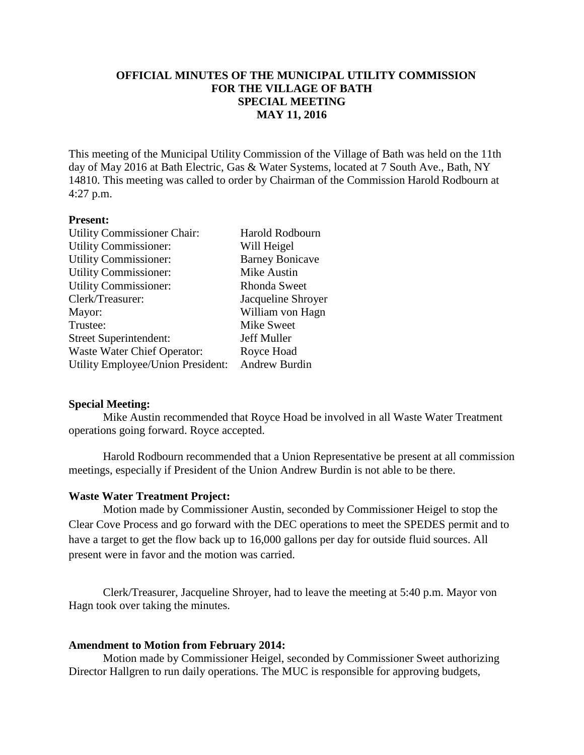# **OFFICIAL MINUTES OF THE MUNICIPAL UTILITY COMMISSION FOR THE VILLAGE OF BATH SPECIAL MEETING MAY 11, 2016**

This meeting of the Municipal Utility Commission of the Village of Bath was held on the 11th day of May 2016 at Bath Electric, Gas & Water Systems, located at 7 South Ave., Bath, NY 14810. This meeting was called to order by Chairman of the Commission Harold Rodbourn at 4:27 p.m.

### **Present:**

| <b>Utility Commissioner Chair:</b> | Harold Rodbourn        |
|------------------------------------|------------------------|
| <b>Utility Commissioner:</b>       | Will Heigel            |
| <b>Utility Commissioner:</b>       | <b>Barney Bonicave</b> |
| <b>Utility Commissioner:</b>       | Mike Austin            |
| <b>Utility Commissioner:</b>       | <b>Rhonda Sweet</b>    |
| Clerk/Treasurer:                   | Jacqueline Shroyer     |
| Mayor:                             | William von Hagn       |
| Trustee:                           | Mike Sweet             |
| <b>Street Superintendent:</b>      | Jeff Muller            |
| Waste Water Chief Operator:        | Royce Hoad             |
| Utility Employee/Union President:  | Andrew Burdin          |

### **Special Meeting:**

Mike Austin recommended that Royce Hoad be involved in all Waste Water Treatment operations going forward. Royce accepted.

Harold Rodbourn recommended that a Union Representative be present at all commission meetings, especially if President of the Union Andrew Burdin is not able to be there.

#### **Waste Water Treatment Project:**

Motion made by Commissioner Austin, seconded by Commissioner Heigel to stop the Clear Cove Process and go forward with the DEC operations to meet the SPEDES permit and to have a target to get the flow back up to 16,000 gallons per day for outside fluid sources. All present were in favor and the motion was carried.

Clerk/Treasurer, Jacqueline Shroyer, had to leave the meeting at 5:40 p.m. Mayor von Hagn took over taking the minutes.

#### **Amendment to Motion from February 2014:**

Motion made by Commissioner Heigel, seconded by Commissioner Sweet authorizing Director Hallgren to run daily operations. The MUC is responsible for approving budgets,